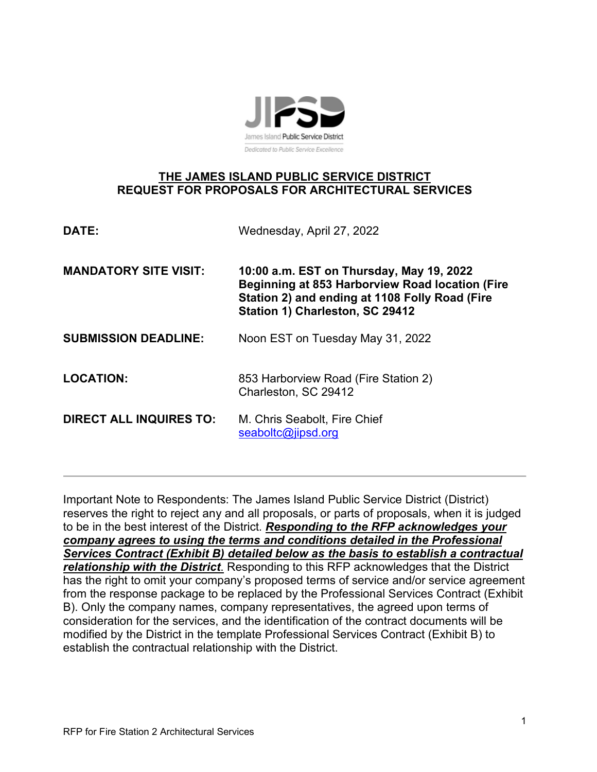

# **THE JAMES ISLAND PUBLIC SERVICE DISTRICT REQUEST FOR PROPOSALS FOR ARCHITECTURAL SERVICES**

| DATE:                          | Wednesday, April 27, 2022                                                                                                                                                               |  |
|--------------------------------|-----------------------------------------------------------------------------------------------------------------------------------------------------------------------------------------|--|
| <b>MANDATORY SITE VISIT:</b>   | 10:00 a.m. EST on Thursday, May 19, 2022<br><b>Beginning at 853 Harborview Road location (Fire</b><br>Station 2) and ending at 1108 Folly Road (Fire<br>Station 1) Charleston, SC 29412 |  |
| <b>SUBMISSION DEADLINE:</b>    | Noon EST on Tuesday May 31, 2022                                                                                                                                                        |  |
| <b>LOCATION:</b>               | 853 Harborview Road (Fire Station 2)<br>Charleston, SC 29412                                                                                                                            |  |
| <b>DIRECT ALL INQUIRES TO:</b> | M. Chris Seabolt, Fire Chief<br>seaboltc@jipsd.org                                                                                                                                      |  |

Important Note to Respondents: The James Island Public Service District (District) reserves the right to reject any and all proposals, or parts of proposals, when it is judged to be in the best interest of the District. *Responding to the RFP acknowledges your company agrees to using the terms and conditions detailed in the Professional Services Contract (Exhibit B) detailed below as the basis to establish a contractual relationship with the District*. Responding to this RFP acknowledges that the District has the right to omit your company's proposed terms of service and/or service agreement from the response package to be replaced by the Professional Services Contract (Exhibit B). Only the company names, company representatives, the agreed upon terms of consideration for the services, and the identification of the contract documents will be modified by the District in the template Professional Services Contract (Exhibit B) to establish the contractual relationship with the District.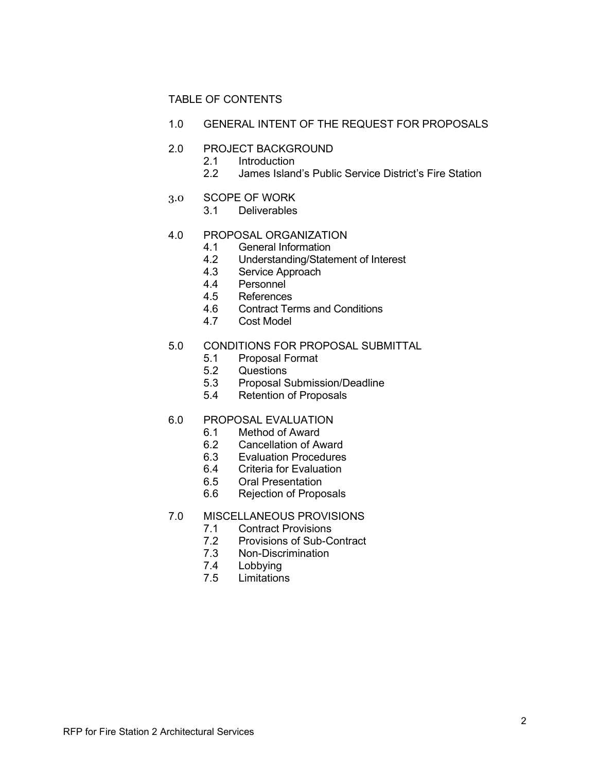## TABLE OF CONTENTS

1.0 GENERAL INTENT OF THE REQUEST FOR PROPOSALS

# 2.0 PROJECT BACKGROUND<br>2.1 Introduction

- **Introduction**
- 2.2 James Island's Public Service District's Fire Station
- 3.0 SCOPE OF WORK<br>3.1 Deliverables
	- **Deliverables**

# 4.0 PROPOSAL ORGANIZATION<br>4.1 General Information

- 4.1 General Information<br>4.2 Understanding/State
- 4.2 Understanding/Statement of Interest
- 4.3 Service Approach<br>4.4 Personnel
- Personnel
- 4.5 References
- 4.6 Contract Terms and Conditions<br>4.7 Cost Model
- Cost Model

## 5.0 CONDITIONS FOR PROPOSAL SUBMITTAL

- 5.1 Proposal Format<br>5.2 Questions
- Questions
- 5.3 Proposal Submission/Deadline
- 5.4 Retention of Proposals

# 6.0 PROPOSAL EVALUATION<br>6.1 Method of Award

- Method of Award
- 6.2 Cancellation of Award<br>6.3 Evaluation Procedures
- **Evaluation Procedures**
- 6.4 Criteria for Evaluation
- 6.5 Oral Presentation
- 6.6 Rejection of Proposals
- 7.0 MISCELLANEOUS PROVISIONS<br>7.1 Contract Provisions
	- **Contract Provisions**
	- 7.2 Provisions of Sub-Contract<br>7.3 Non-Discrimination
	- 7.3 Non-Discrimination<br>7.4 Lobbving
	- **Lobbying**
	- 7.5 Limitations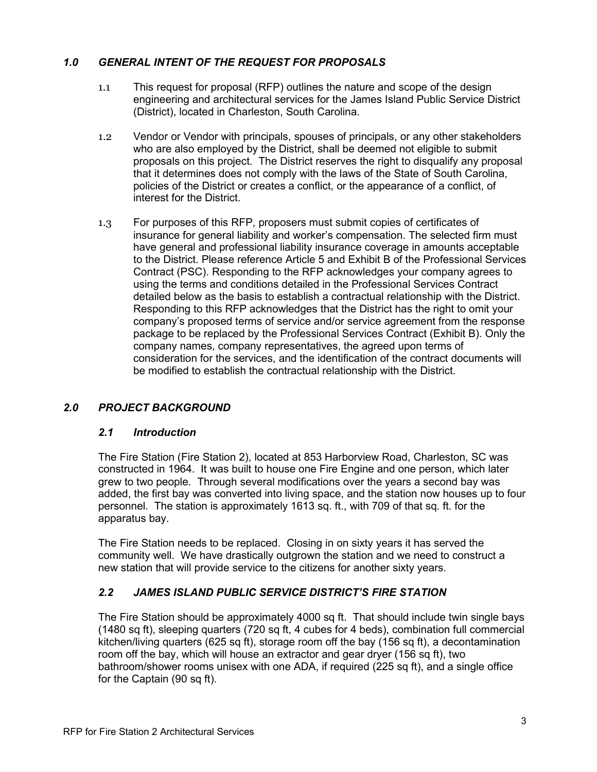# *1.0 GENERAL INTENT OF THE REQUEST FOR PROPOSALS*

- 1.1 This request for proposal (RFP) outlines the nature and scope of the design engineering and architectural services for the James Island Public Service District (District), located in Charleston, South Carolina.
- 1.2 Vendor or Vendor with principals, spouses of principals, or any other stakeholders who are also employed by the District, shall be deemed not eligible to submit proposals on this project. The District reserves the right to disqualify any proposal that it determines does not comply with the laws of the State of South Carolina, policies of the District or creates a conflict, or the appearance of a conflict, of interest for the District.
- 1.3 For purposes of this RFP, proposers must submit copies of certificates of insurance for general liability and worker's compensation. The selected firm must have general and professional liability insurance coverage in amounts acceptable to the District. Please reference Article 5 and Exhibit B of the Professional Services Contract (PSC). Responding to the RFP acknowledges your company agrees to using the terms and conditions detailed in the Professional Services Contract detailed below as the basis to establish a contractual relationship with the District. Responding to this RFP acknowledges that the District has the right to omit your company's proposed terms of service and/or service agreement from the response package to be replaced by the Professional Services Contract (Exhibit B). Only the company names, company representatives, the agreed upon terms of consideration for the services, and the identification of the contract documents will be modified to establish the contractual relationship with the District.

# *2.0 PROJECT BACKGROUND*

## *2.1 Introduction*

The Fire Station (Fire Station 2), located at 853 Harborview Road, Charleston, SC was constructed in 1964. It was built to house one Fire Engine and one person, which later grew to two people. Through several modifications over the years a second bay was added, the first bay was converted into living space, and the station now houses up to four personnel. The station is approximately 1613 sq. ft., with 709 of that sq. ft. for the apparatus bay.

The Fire Station needs to be replaced. Closing in on sixty years it has served the community well. We have drastically outgrown the station and we need to construct a new station that will provide service to the citizens for another sixty years.

# *2.2 JAMES ISLAND PUBLIC SERVICE DISTRICT'S FIRE STATION*

The Fire Station should be approximately 4000 sq ft. That should include twin single bays (1480 sq ft), sleeping quarters (720 sq ft, 4 cubes for 4 beds), combination full commercial kitchen/living quarters (625 sq ft), storage room off the bay (156 sq ft), a decontamination room off the bay, which will house an extractor and gear dryer (156 sq ft), two bathroom/shower rooms unisex with one ADA, if required (225 sq ft), and a single office for the Captain (90 sq ft).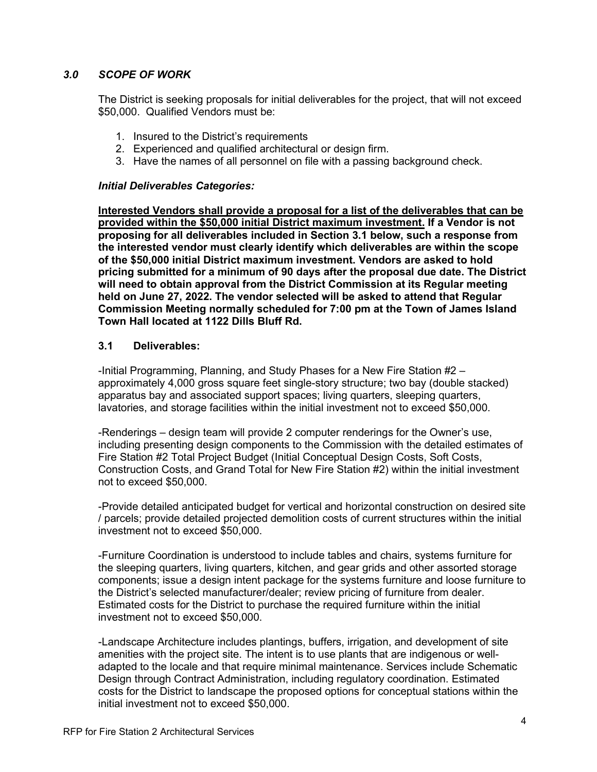## *3.0 SCOPE OF WORK*

The District is seeking proposals for initial deliverables for the project, that will not exceed \$50,000. Qualified Vendors must be:

- 1. Insured to the District's requirements
- 2. Experienced and qualified architectural or design firm.
- 3. Have the names of all personnel on file with a passing background check.

#### *Initial Deliverables Categories:*

**Interested Vendors shall provide a proposal for a list of the deliverables that can be provided within the \$50,000 initial District maximum investment. If a Vendor is not proposing for all deliverables included in Section 3.1 below, such a response from the interested vendor must clearly identify which deliverables are within the scope of the \$50,000 initial District maximum investment. Vendors are asked to hold pricing submitted for a minimum of 90 days after the proposal due date. The District will need to obtain approval from the District Commission at its Regular meeting held on June 27, 2022. The vendor selected will be asked to attend that Regular Commission Meeting normally scheduled for 7:00 pm at the Town of James Island Town Hall located at 1122 Dills Bluff Rd.** 

#### **3.1 Deliverables:**

-Initial Programming, Planning, and Study Phases for a New Fire Station #2 – approximately 4,000 gross square feet single-story structure; two bay (double stacked) apparatus bay and associated support spaces; living quarters, sleeping quarters, lavatories, and storage facilities within the initial investment not to exceed \$50,000.

-Renderings – design team will provide 2 computer renderings for the Owner's use, including presenting design components to the Commission with the detailed estimates of Fire Station #2 Total Project Budget (Initial Conceptual Design Costs, Soft Costs, Construction Costs, and Grand Total for New Fire Station #2) within the initial investment not to exceed \$50,000.

-Provide detailed anticipated budget for vertical and horizontal construction on desired site / parcels; provide detailed projected demolition costs of current structures within the initial investment not to exceed \$50,000.

-Furniture Coordination is understood to include tables and chairs, systems furniture for the sleeping quarters, living quarters, kitchen, and gear grids and other assorted storage components; issue a design intent package for the systems furniture and loose furniture to the District's selected manufacturer/dealer; review pricing of furniture from dealer. Estimated costs for the District to purchase the required furniture within the initial investment not to exceed \$50,000.

-Landscape Architecture includes plantings, buffers, irrigation, and development of site amenities with the project site. The intent is to use plants that are indigenous or welladapted to the locale and that require minimal maintenance. Services include Schematic Design through Contract Administration, including regulatory coordination. Estimated costs for the District to landscape the proposed options for conceptual stations within the initial investment not to exceed \$50,000.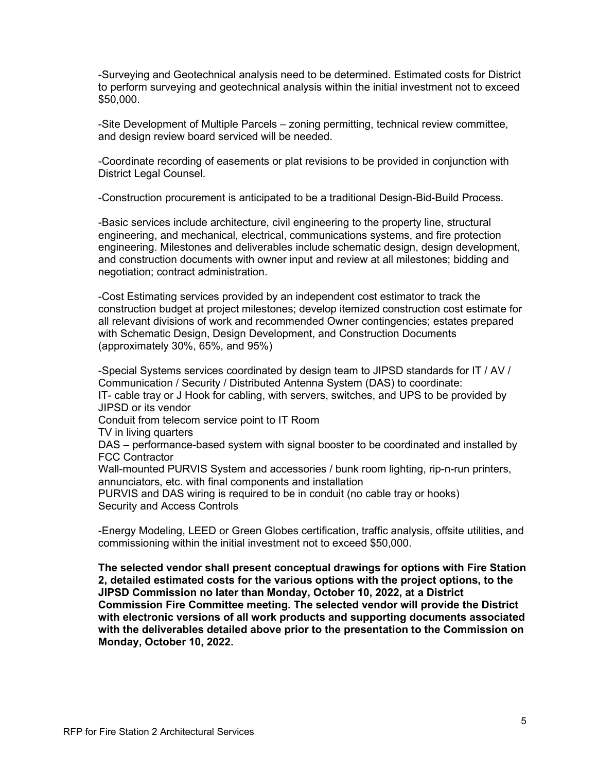-Surveying and Geotechnical analysis need to be determined. Estimated costs for District to perform surveying and geotechnical analysis within the initial investment not to exceed \$50,000.

-Site Development of Multiple Parcels – zoning permitting, technical review committee, and design review board serviced will be needed.

-Coordinate recording of easements or plat revisions to be provided in conjunction with District Legal Counsel.

-Construction procurement is anticipated to be a traditional Design-Bid-Build Process.

-Basic services include architecture, civil engineering to the property line, structural engineering, and mechanical, electrical, communications systems, and fire protection engineering. Milestones and deliverables include schematic design, design development, and construction documents with owner input and review at all milestones; bidding and negotiation; contract administration.

-Cost Estimating services provided by an independent cost estimator to track the construction budget at project milestones; develop itemized construction cost estimate for all relevant divisions of work and recommended Owner contingencies; estates prepared with Schematic Design, Design Development, and Construction Documents (approximately 30%, 65%, and 95%)

-Special Systems services coordinated by design team to JIPSD standards for IT / AV / Communication / Security / Distributed Antenna System (DAS) to coordinate: IT- cable tray or J Hook for cabling, with servers, switches, and UPS to be provided by JIPSD or its vendor

Conduit from telecom service point to IT Room

TV in living quarters

DAS – performance-based system with signal booster to be coordinated and installed by FCC Contractor

Wall-mounted PURVIS System and accessories / bunk room lighting, rip-n-run printers, annunciators, etc. with final components and installation

PURVIS and DAS wiring is required to be in conduit (no cable tray or hooks) Security and Access Controls

-Energy Modeling, LEED or Green Globes certification, traffic analysis, offsite utilities, and commissioning within the initial investment not to exceed \$50,000.

**The selected vendor shall present conceptual drawings for options with Fire Station 2, detailed estimated costs for the various options with the project options, to the JIPSD Commission no later than Monday, October 10, 2022, at a District Commission Fire Committee meeting. The selected vendor will provide the District with electronic versions of all work products and supporting documents associated with the deliverables detailed above prior to the presentation to the Commission on Monday, October 10, 2022.**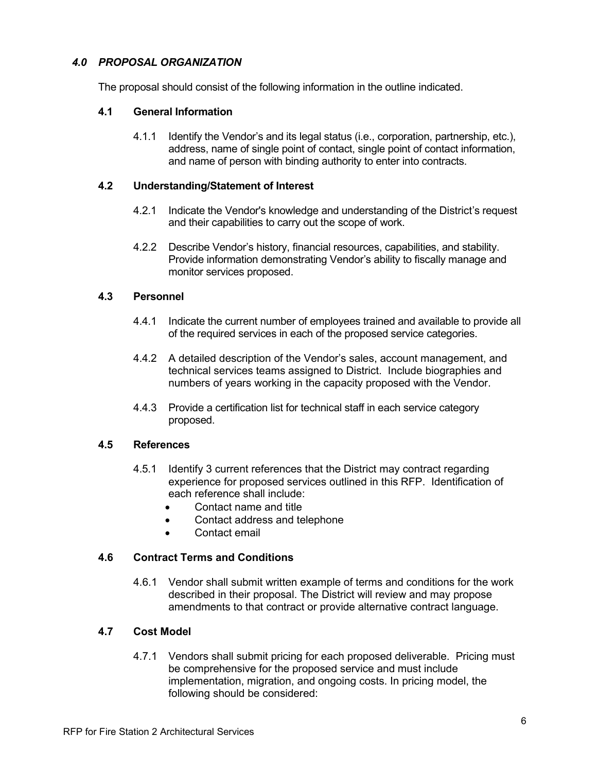## *4.0 PROPOSAL ORGANIZATION*

The proposal should consist of the following information in the outline indicated.

## **4.1 General Information**

4.1.1 Identify the Vendor's and its legal status (i.e., corporation, partnership, etc.), address, name of single point of contact, single point of contact information, and name of person with binding authority to enter into contracts.

### **4.2 Understanding/Statement of Interest**

- 4.2.1 Indicate the Vendor's knowledge and understanding of the District's request and their capabilities to carry out the scope of work.
- 4.2.2 Describe Vendor's history, financial resources, capabilities, and stability. Provide information demonstrating Vendor's ability to fiscally manage and monitor services proposed.

#### **4.3 Personnel**

- 4.4.1 Indicate the current number of employees trained and available to provide all of the required services in each of the proposed service categories.
- 4.4.2 A detailed description of the Vendor's sales, account management, and technical services teams assigned to District. Include biographies and numbers of years working in the capacity proposed with the Vendor.
- 4.4.3 Provide a certification list for technical staff in each service category proposed.

## **4.5 References**

- 4.5.1 Identify 3 current references that the District may contract regarding experience for proposed services outlined in this RFP. Identification of each reference shall include:
	- Contact name and title
	- Contact address and telephone
	- Contact email

#### **4.6 Contract Terms and Conditions**

4.6.1 Vendor shall submit written example of terms and conditions for the work described in their proposal. The District will review and may propose amendments to that contract or provide alternative contract language.

#### **4.7 Cost Model**

4.7.1 Vendors shall submit pricing for each proposed deliverable. Pricing must be comprehensive for the proposed service and must include implementation, migration, and ongoing costs. In pricing model, the following should be considered: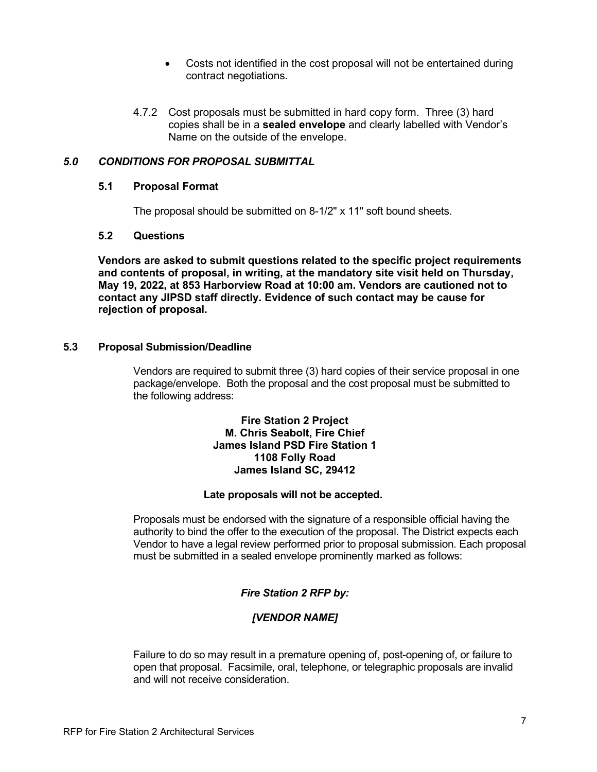- Costs not identified in the cost proposal will not be entertained during contract negotiations.
- 4.7.2 Cost proposals must be submitted in hard copy form. Three (3) hard copies shall be in a **sealed envelope** and clearly labelled with Vendor's Name on the outside of the envelope.

## *5.0 CONDITIONS FOR PROPOSAL SUBMITTAL*

#### **5.1 Proposal Format**

The proposal should be submitted on 8-1/2" x 11" soft bound sheets.

### **5.2 Questions**

**Vendors are asked to submit questions related to the specific project requirements and contents of proposal, in writing, at the mandatory site visit held on Thursday, May 19, 2022, at 853 Harborview Road at 10:00 am. Vendors are cautioned not to contact any JIPSD staff directly. Evidence of such contact may be cause for rejection of proposal.**

## **5.3 Proposal Submission/Deadline**

Vendors are required to submit three (3) hard copies of their service proposal in one package/envelope. Both the proposal and the cost proposal must be submitted to the following address:

#### **Fire Station 2 Project M. Chris Seabolt, Fire Chief James Island PSD Fire Station 1 1108 Folly Road James Island SC, 29412**

#### **Late proposals will not be accepted.**

Proposals must be endorsed with the signature of a responsible official having the authority to bind the offer to the execution of the proposal. The District expects each Vendor to have a legal review performed prior to proposal submission. Each proposal must be submitted in a sealed envelope prominently marked as follows:

# *Fire Station 2 RFP by:*

# *[VENDOR NAME]*

Failure to do so may result in a premature opening of, post-opening of, or failure to open that proposal. Facsimile, oral, telephone, or telegraphic proposals are invalid and will not receive consideration.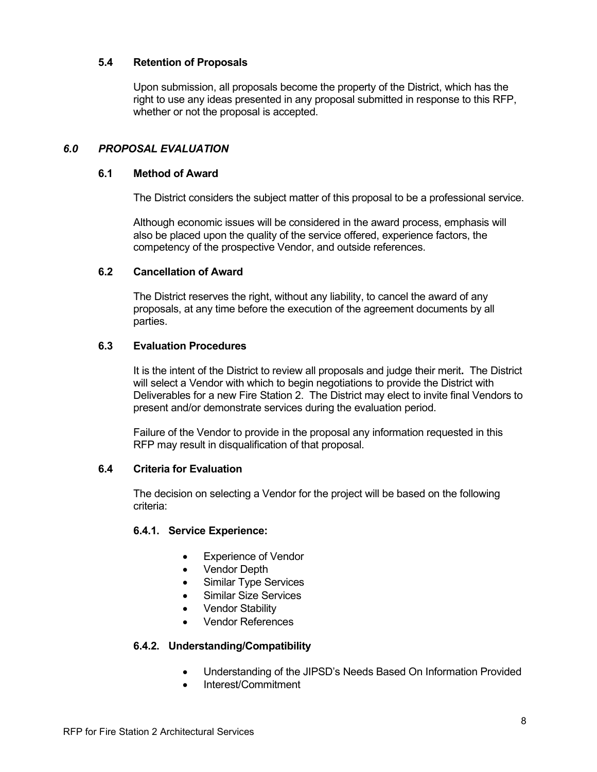## **5.4 Retention of Proposals**

Upon submission, all proposals become the property of the District, which has the right to use any ideas presented in any proposal submitted in response to this RFP, whether or not the proposal is accepted.

### *6.0 PROPOSAL EVALUATION*

#### **6.1 Method of Award**

The District considers the subject matter of this proposal to be a professional service.

Although economic issues will be considered in the award process, emphasis will also be placed upon the quality of the service offered, experience factors, the competency of the prospective Vendor, and outside references.

#### **6.2 Cancellation of Award**

The District reserves the right, without any liability, to cancel the award of any proposals, at any time before the execution of the agreement documents by all parties.

#### **6.3 Evaluation Procedures**

It is the intent of the District to review all proposals and judge their merit**.** The District will select a Vendor with which to begin negotiations to provide the District with Deliverables for a new Fire Station 2. The District may elect to invite final Vendors to present and/or demonstrate services during the evaluation period.

Failure of the Vendor to provide in the proposal any information requested in this RFP may result in disqualification of that proposal.

#### **6.4 Criteria for Evaluation**

The decision on selecting a Vendor for the project will be based on the following criteria:

#### **6.4.1. Service Experience:**

- Experience of Vendor
- Vendor Depth
- Similar Type Services
- Similar Size Services
- Vendor Stability
- Vendor References

#### **6.4.2. Understanding/Compatibility**

- Understanding of the JIPSD's Needs Based On Information Provided
- Interest/Commitment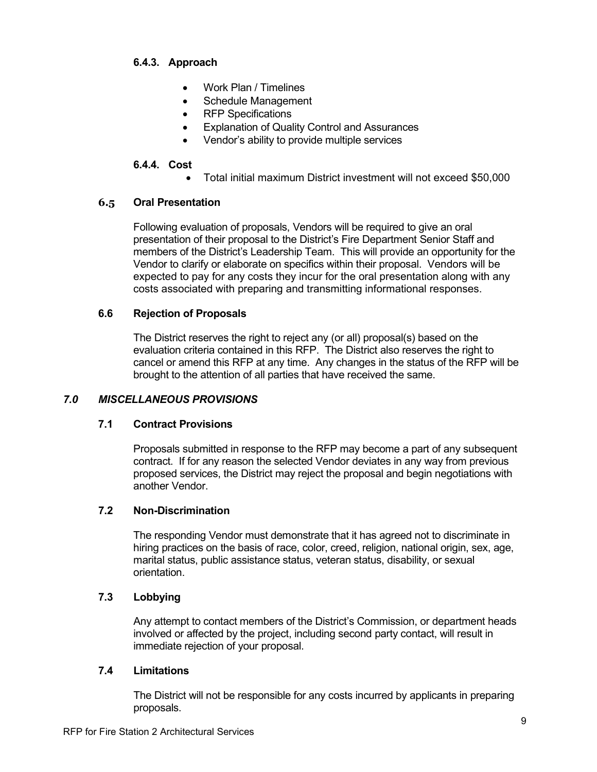## **6.4.3. Approach**

- Work Plan / Timelines
- Schedule Management
- RFP Specifications
- Explanation of Quality Control and Assurances
- Vendor's ability to provide multiple services

### **6.4.4. Cost**

• Total initial maximum District investment will not exceed \$50,000

#### **6.5 Oral Presentation**

Following evaluation of proposals, Vendors will be required to give an oral presentation of their proposal to the District's Fire Department Senior Staff and members of the District's Leadership Team. This will provide an opportunity for the Vendor to clarify or elaborate on specifics within their proposal. Vendors will be expected to pay for any costs they incur for the oral presentation along with any costs associated with preparing and transmitting informational responses.

#### **6.6 Rejection of Proposals**

The District reserves the right to reject any (or all) proposal(s) based on the evaluation criteria contained in this RFP. The District also reserves the right to cancel or amend this RFP at any time. Any changes in the status of the RFP will be brought to the attention of all parties that have received the same.

## *7.0 MISCELLANEOUS PROVISIONS*

## **7.1 Contract Provisions**

Proposals submitted in response to the RFP may become a part of any subsequent contract. If for any reason the selected Vendor deviates in any way from previous proposed services, the District may reject the proposal and begin negotiations with another Vendor.

## **7.2 Non-Discrimination**

The responding Vendor must demonstrate that it has agreed not to discriminate in hiring practices on the basis of race, color, creed, religion, national origin, sex, age, marital status, public assistance status, veteran status, disability, or sexual orientation.

## **7.3 Lobbying**

Any attempt to contact members of the District's Commission, or department heads involved or affected by the project, including second party contact, will result in immediate rejection of your proposal.

#### **7.4 Limitations**

The District will not be responsible for any costs incurred by applicants in preparing proposals.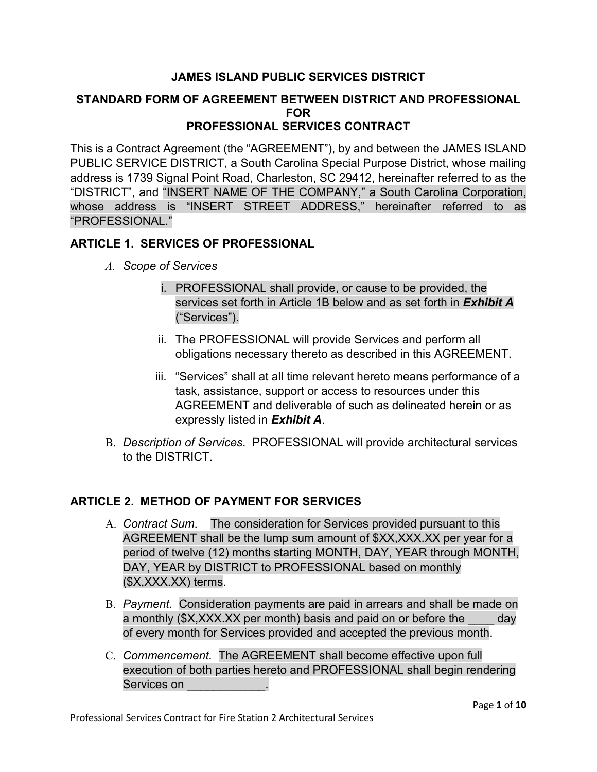# **JAMES ISLAND PUBLIC SERVICES DISTRICT**

## **STANDARD FORM OF AGREEMENT BETWEEN DISTRICT AND PROFESSIONAL FOR PROFESSIONAL SERVICES CONTRACT**

This is a Contract Agreement (the "AGREEMENT"), by and between the JAMES ISLAND PUBLIC SERVICE DISTRICT, a South Carolina Special Purpose District, whose mailing address is 1739 Signal Point Road, Charleston, SC 29412, hereinafter referred to as the "DISTRICT", and "INSERT NAME OF THE COMPANY," a South Carolina Corporation, whose address is "INSERT STREET ADDRESS," hereinafter referred to as "PROFESSIONAL."

# **ARTICLE 1. SERVICES OF PROFESSIONAL**

- *A. Scope of Services*
	- i. PROFESSIONAL shall provide, or cause to be provided, the services set forth in Article 1B below and as set forth in *Exhibit A* ("Services").
	- ii. The PROFESSIONAL will provide Services and perform all obligations necessary thereto as described in this AGREEMENT.
	- iii. "Services" shall at all time relevant hereto means performance of a task, assistance, support or access to resources under this AGREEMENT and deliverable of such as delineated herein or as expressly listed in *Exhibit A*.
- B. *Description of Services*. PROFESSIONAL will provide architectural services to the DISTRICT.

# **ARTICLE 2. METHOD OF PAYMENT FOR SERVICES**

- A. *Contract Sum*. The consideration for Services provided pursuant to this AGREEMENT shall be the lump sum amount of \$XX,XXX.XX per year for a period of twelve (12) months starting MONTH, DAY, YEAR through MONTH, DAY, YEAR by DISTRICT to PROFESSIONAL based on monthly (\$X,XXX.XX) terms.
- B. *Payment*. Consideration payments are paid in arrears and shall be made on a monthly (\$X,XXX.XX per month) basis and paid on or before the day of every month for Services provided and accepted the previous month.
- C. *Commencement*. The AGREEMENT shall become effective upon full execution of both parties hereto and PROFESSIONAL shall begin rendering Services on \_\_\_\_\_\_\_\_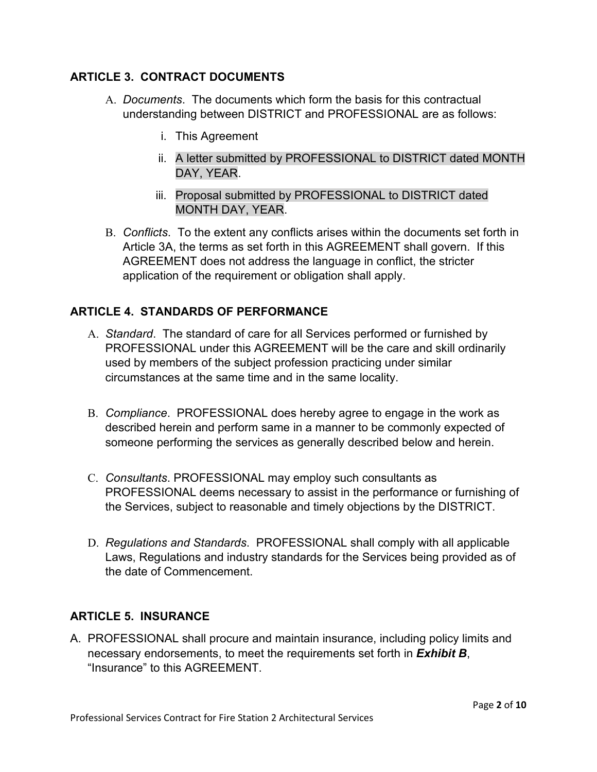# **ARTICLE 3. CONTRACT DOCUMENTS**

- A. *Documents*. The documents which form the basis for this contractual understanding between DISTRICT and PROFESSIONAL are as follows:
	- i. This Agreement
	- ii. A letter submitted by PROFESSIONAL to DISTRICT dated MONTH DAY, YEAR.
	- iii. Proposal submitted by PROFESSIONAL to DISTRICT dated MONTH DAY, YEAR.
- B. *Conflicts*. To the extent any conflicts arises within the documents set forth in Article 3A, the terms as set forth in this AGREEMENT shall govern. If this AGREEMENT does not address the language in conflict, the stricter application of the requirement or obligation shall apply.

# **ARTICLE 4. STANDARDS OF PERFORMANCE**

- A. *Standard*. The standard of care for all Services performed or furnished by PROFESSIONAL under this AGREEMENT will be the care and skill ordinarily used by members of the subject profession practicing under similar circumstances at the same time and in the same locality.
- B. *Compliance*. PROFESSIONAL does hereby agree to engage in the work as described herein and perform same in a manner to be commonly expected of someone performing the services as generally described below and herein.
- C. *Consultants*. PROFESSIONAL may employ such consultants as PROFESSIONAL deems necessary to assist in the performance or furnishing of the Services, subject to reasonable and timely objections by the DISTRICT.
- D. *Regulations and Standards*. PROFESSIONAL shall comply with all applicable Laws, Regulations and industry standards for the Services being provided as of the date of Commencement.

# **ARTICLE 5. INSURANCE**

A. PROFESSIONAL shall procure and maintain insurance, including policy limits and necessary endorsements, to meet the requirements set forth in *Exhibit B*, "Insurance" to this AGREEMENT.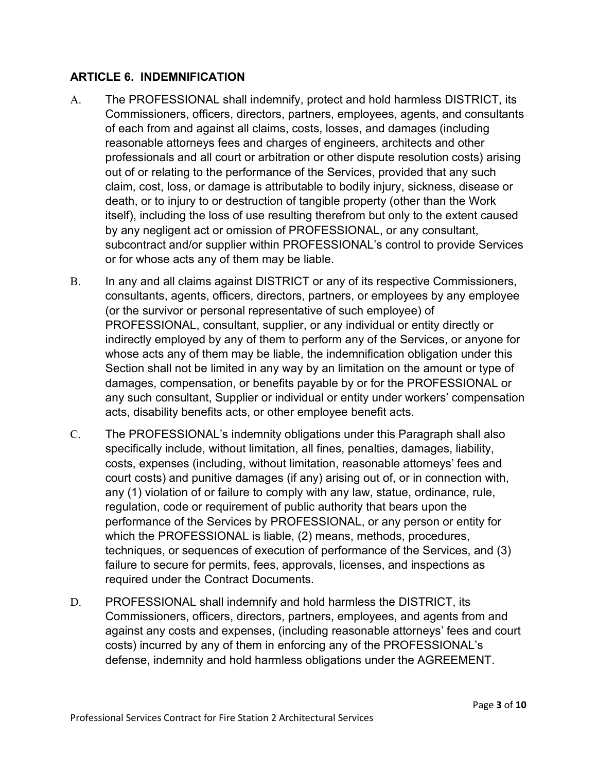# **ARTICLE 6. INDEMNIFICATION**

- A. The PROFESSIONAL shall indemnify, protect and hold harmless DISTRICT, its Commissioners, officers, directors, partners, employees, agents, and consultants of each from and against all claims, costs, losses, and damages (including reasonable attorneys fees and charges of engineers, architects and other professionals and all court or arbitration or other dispute resolution costs) arising out of or relating to the performance of the Services, provided that any such claim, cost, loss, or damage is attributable to bodily injury, sickness, disease or death, or to injury to or destruction of tangible property (other than the Work itself), including the loss of use resulting therefrom but only to the extent caused by any negligent act or omission of PROFESSIONAL, or any consultant, subcontract and/or supplier within PROFESSIONAL's control to provide Services or for whose acts any of them may be liable.
- B. In any and all claims against DISTRICT or any of its respective Commissioners, consultants, agents, officers, directors, partners, or employees by any employee (or the survivor or personal representative of such employee) of PROFESSIONAL, consultant, supplier, or any individual or entity directly or indirectly employed by any of them to perform any of the Services, or anyone for whose acts any of them may be liable, the indemnification obligation under this Section shall not be limited in any way by an limitation on the amount or type of damages, compensation, or benefits payable by or for the PROFESSIONAL or any such consultant, Supplier or individual or entity under workers' compensation acts, disability benefits acts, or other employee benefit acts.
- C. The PROFESSIONAL's indemnity obligations under this Paragraph shall also specifically include, without limitation, all fines, penalties, damages, liability, costs, expenses (including, without limitation, reasonable attorneys' fees and court costs) and punitive damages (if any) arising out of, or in connection with, any (1) violation of or failure to comply with any law, statue, ordinance, rule, regulation, code or requirement of public authority that bears upon the performance of the Services by PROFESSIONAL, or any person or entity for which the PROFESSIONAL is liable, (2) means, methods, procedures, techniques, or sequences of execution of performance of the Services, and (3) failure to secure for permits, fees, approvals, licenses, and inspections as required under the Contract Documents.
- D. PROFESSIONAL shall indemnify and hold harmless the DISTRICT, its Commissioners, officers, directors, partners, employees, and agents from and against any costs and expenses, (including reasonable attorneys' fees and court costs) incurred by any of them in enforcing any of the PROFESSIONAL's defense, indemnity and hold harmless obligations under the AGREEMENT.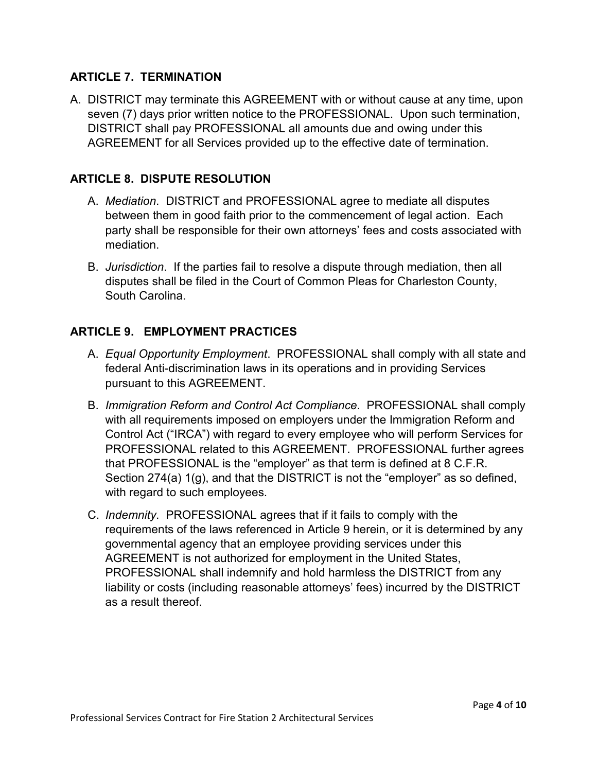# **ARTICLE 7. TERMINATION**

A. DISTRICT may terminate this AGREEMENT with or without cause at any time, upon seven (7) days prior written notice to the PROFESSIONAL. Upon such termination, DISTRICT shall pay PROFESSIONAL all amounts due and owing under this AGREEMENT for all Services provided up to the effective date of termination.

# **ARTICLE 8. DISPUTE RESOLUTION**

- A. *Mediation*. DISTRICT and PROFESSIONAL agree to mediate all disputes between them in good faith prior to the commencement of legal action. Each party shall be responsible for their own attorneys' fees and costs associated with mediation.
- B. *Jurisdiction*. If the parties fail to resolve a dispute through mediation, then all disputes shall be filed in the Court of Common Pleas for Charleston County, South Carolina.

# **ARTICLE 9. EMPLOYMENT PRACTICES**

- A. *Equal Opportunity Employment*. PROFESSIONAL shall comply with all state and federal Anti-discrimination laws in its operations and in providing Services pursuant to this AGREEMENT.
- B. *Immigration Reform and Control Act Compliance*. PROFESSIONAL shall comply with all requirements imposed on employers under the Immigration Reform and Control Act ("IRCA") with regard to every employee who will perform Services for PROFESSIONAL related to this AGREEMENT. PROFESSIONAL further agrees that PROFESSIONAL is the "employer" as that term is defined at 8 C.F.R. Section 274(a) 1(g), and that the DISTRICT is not the "employer" as so defined, with regard to such employees.
- C. *Indemnity*. PROFESSIONAL agrees that if it fails to comply with the requirements of the laws referenced in Article 9 herein, or it is determined by any governmental agency that an employee providing services under this AGREEMENT is not authorized for employment in the United States, PROFESSIONAL shall indemnify and hold harmless the DISTRICT from any liability or costs (including reasonable attorneys' fees) incurred by the DISTRICT as a result thereof.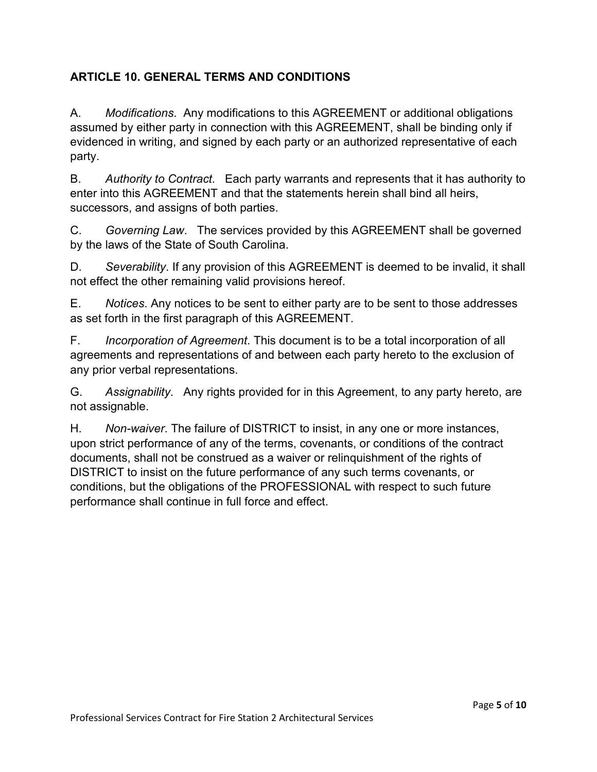# **ARTICLE 10. GENERAL TERMS AND CONDITIONS**

A. *Modifications*. Any modifications to this AGREEMENT or additional obligations assumed by either party in connection with this AGREEMENT, shall be binding only if evidenced in writing, and signed by each party or an authorized representative of each party.

B. *Authority to Contract*. Each party warrants and represents that it has authority to enter into this AGREEMENT and that the statements herein shall bind all heirs, successors, and assigns of both parties.

C. *Governing Law*. The services provided by this AGREEMENT shall be governed by the laws of the State of South Carolina.

D. *Severability*. If any provision of this AGREEMENT is deemed to be invalid, it shall not effect the other remaining valid provisions hereof.

E. *Notices*. Any notices to be sent to either party are to be sent to those addresses as set forth in the first paragraph of this AGREEMENT.

F. *Incorporation of Agreement*. This document is to be a total incorporation of all agreements and representations of and between each party hereto to the exclusion of any prior verbal representations.

G. *Assignability*. Any rights provided for in this Agreement, to any party hereto, are not assignable.

H. *Non-waiver*. The failure of DISTRICT to insist, in any one or more instances, upon strict performance of any of the terms, covenants, or conditions of the contract documents, shall not be construed as a waiver or relinquishment of the rights of DISTRICT to insist on the future performance of any such terms covenants, or conditions, but the obligations of the PROFESSIONAL with respect to such future performance shall continue in full force and effect.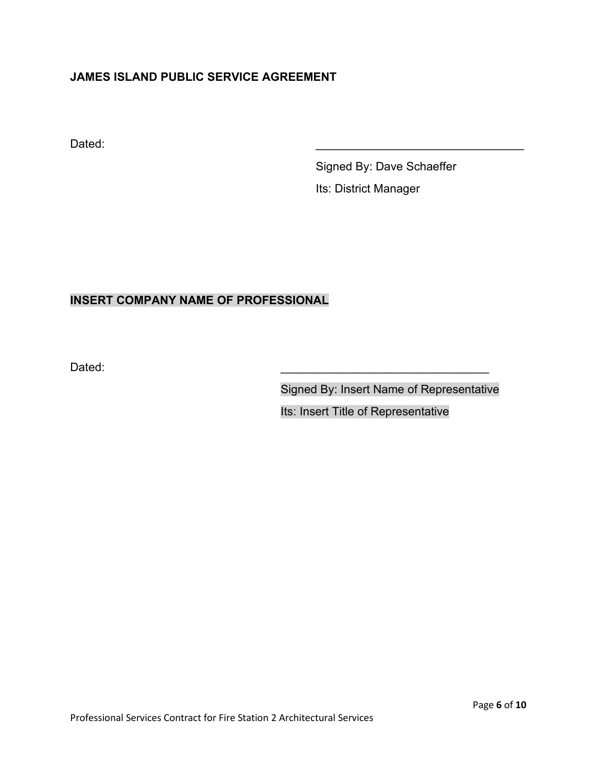# **JAMES ISLAND PUBLIC SERVICE AGREEMENT**

Dated: \_\_\_\_\_\_\_\_\_\_\_\_\_\_\_\_\_\_\_\_\_\_\_\_\_\_\_\_\_\_\_\_

Signed By: Dave Schaeffer Its: District Manager

# **INSERT COMPANY NAME OF PROFESSIONAL**

Dated: \_\_\_\_\_\_\_\_\_\_\_\_\_\_\_\_\_\_\_\_\_\_\_\_\_\_\_\_\_\_\_\_

Signed By: Insert Name of Representative

Its: Insert Title of Representative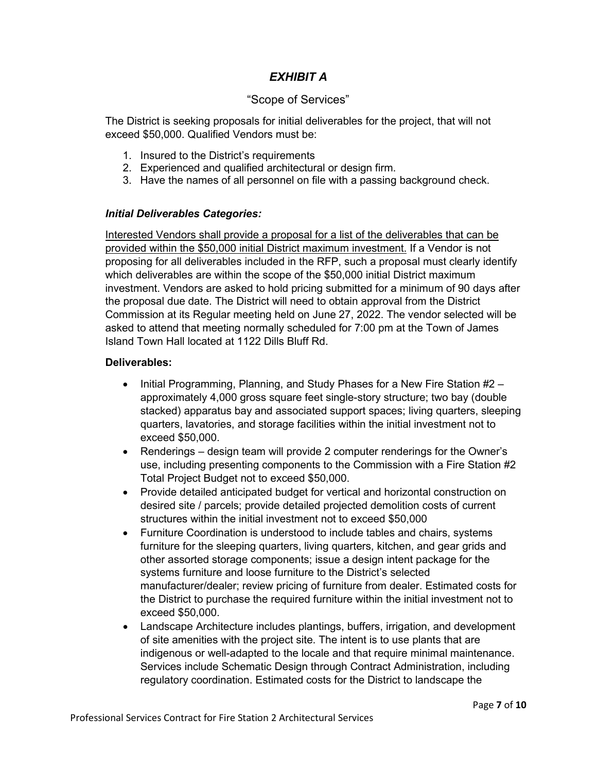# *EXHIBIT A*

## "Scope of Services"

The District is seeking proposals for initial deliverables for the project, that will not exceed \$50,000. Qualified Vendors must be:

- 1. Insured to the District's requirements
- 2. Experienced and qualified architectural or design firm.
- 3. Have the names of all personnel on file with a passing background check.

#### *Initial Deliverables Categories:*

Interested Vendors shall provide a proposal for a list of the deliverables that can be provided within the \$50,000 initial District maximum investment. If a Vendor is not proposing for all deliverables included in the RFP, such a proposal must clearly identify which deliverables are within the scope of the \$50,000 initial District maximum investment. Vendors are asked to hold pricing submitted for a minimum of 90 days after the proposal due date. The District will need to obtain approval from the District Commission at its Regular meeting held on June 27, 2022. The vendor selected will be asked to attend that meeting normally scheduled for 7:00 pm at the Town of James Island Town Hall located at 1122 Dills Bluff Rd.

#### **Deliverables:**

- Initial Programming, Planning, and Study Phases for a New Fire Station #2 approximately 4,000 gross square feet single-story structure; two bay (double stacked) apparatus bay and associated support spaces; living quarters, sleeping quarters, lavatories, and storage facilities within the initial investment not to exceed \$50,000.
- Renderings design team will provide 2 computer renderings for the Owner's use, including presenting components to the Commission with a Fire Station #2 Total Project Budget not to exceed \$50,000.
- Provide detailed anticipated budget for vertical and horizontal construction on desired site / parcels; provide detailed projected demolition costs of current structures within the initial investment not to exceed \$50,000
- Furniture Coordination is understood to include tables and chairs, systems furniture for the sleeping quarters, living quarters, kitchen, and gear grids and other assorted storage components; issue a design intent package for the systems furniture and loose furniture to the District's selected manufacturer/dealer; review pricing of furniture from dealer. Estimated costs for the District to purchase the required furniture within the initial investment not to exceed \$50,000.
- Landscape Architecture includes plantings, buffers, irrigation, and development of site amenities with the project site. The intent is to use plants that are indigenous or well-adapted to the locale and that require minimal maintenance. Services include Schematic Design through Contract Administration, including regulatory coordination. Estimated costs for the District to landscape the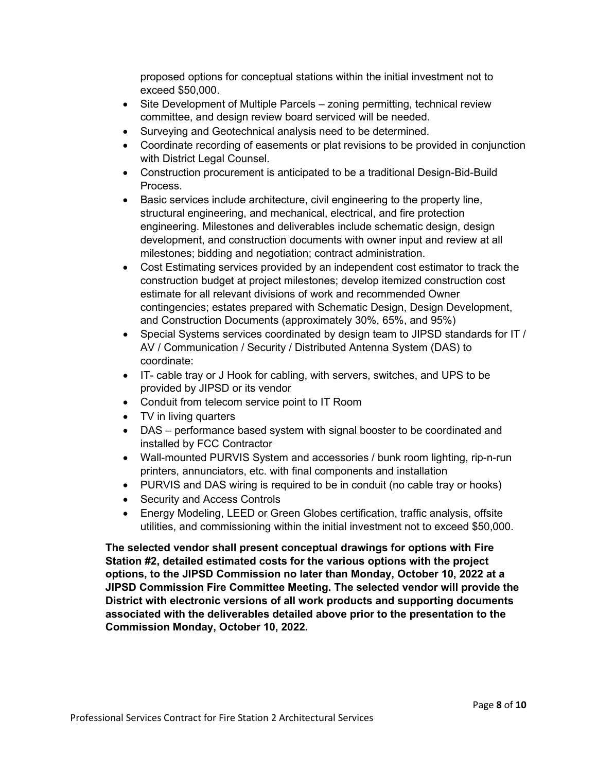proposed options for conceptual stations within the initial investment not to exceed \$50,000.

- Site Development of Multiple Parcels zoning permitting, technical review committee, and design review board serviced will be needed.
- Surveying and Geotechnical analysis need to be determined.
- Coordinate recording of easements or plat revisions to be provided in conjunction with District Legal Counsel.
- Construction procurement is anticipated to be a traditional Design-Bid-Build Process.
- Basic services include architecture, civil engineering to the property line, structural engineering, and mechanical, electrical, and fire protection engineering. Milestones and deliverables include schematic design, design development, and construction documents with owner input and review at all milestones; bidding and negotiation; contract administration.
- Cost Estimating services provided by an independent cost estimator to track the construction budget at project milestones; develop itemized construction cost estimate for all relevant divisions of work and recommended Owner contingencies; estates prepared with Schematic Design, Design Development, and Construction Documents (approximately 30%, 65%, and 95%)
- Special Systems services coordinated by design team to JIPSD standards for IT / AV / Communication / Security / Distributed Antenna System (DAS) to coordinate:
- IT- cable tray or J Hook for cabling, with servers, switches, and UPS to be provided by JIPSD or its vendor
- Conduit from telecom service point to IT Room
- TV in living quarters
- DAS performance based system with signal booster to be coordinated and installed by FCC Contractor
- Wall-mounted PURVIS System and accessories / bunk room lighting, rip-n-run printers, annunciators, etc. with final components and installation
- PURVIS and DAS wiring is required to be in conduit (no cable tray or hooks)
- Security and Access Controls
- Energy Modeling, LEED or Green Globes certification, traffic analysis, offsite utilities, and commissioning within the initial investment not to exceed \$50,000.

**The selected vendor shall present conceptual drawings for options with Fire Station #2, detailed estimated costs for the various options with the project options, to the JIPSD Commission no later than Monday, October 10, 2022 at a JIPSD Commission Fire Committee Meeting. The selected vendor will provide the District with electronic versions of all work products and supporting documents associated with the deliverables detailed above prior to the presentation to the Commission Monday, October 10, 2022.**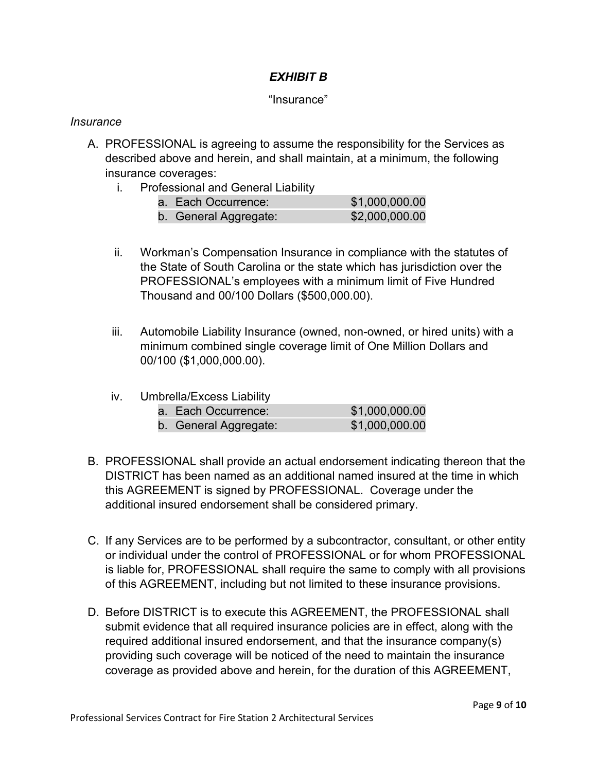# *EXHIBIT B*

# "Insurance"

## *Insurance*

- A. PROFESSIONAL is agreeing to assume the responsibility for the Services as described above and herein, and shall maintain, at a minimum, the following insurance coverages:
	- i. Professional and General Liability

| a. Each Occurrence:   | \$1,000,000.00 |
|-----------------------|----------------|
| b. General Aggregate: | \$2,000,000.00 |

- ii. Workman's Compensation Insurance in compliance with the statutes of the State of South Carolina or the state which has jurisdiction over the PROFESSIONAL's employees with a minimum limit of Five Hundred Thousand and 00/100 Dollars (\$500,000.00).
- iii. Automobile Liability Insurance (owned, non-owned, or hired units) with a minimum combined single coverage limit of One Million Dollars and 00/100 (\$1,000,000.00).
- iv. Umbrella/Excess Liability

| a. Each Occurrence:   | \$1,000,000.00 |
|-----------------------|----------------|
| b. General Aggregate: | \$1,000,000.00 |

- B. PROFESSIONAL shall provide an actual endorsement indicating thereon that the DISTRICT has been named as an additional named insured at the time in which this AGREEMENT is signed by PROFESSIONAL. Coverage under the additional insured endorsement shall be considered primary.
- C. If any Services are to be performed by a subcontractor, consultant, or other entity or individual under the control of PROFESSIONAL or for whom PROFESSIONAL is liable for, PROFESSIONAL shall require the same to comply with all provisions of this AGREEMENT, including but not limited to these insurance provisions.
- D. Before DISTRICT is to execute this AGREEMENT, the PROFESSIONAL shall submit evidence that all required insurance policies are in effect, along with the required additional insured endorsement, and that the insurance company(s) providing such coverage will be noticed of the need to maintain the insurance coverage as provided above and herein, for the duration of this AGREEMENT,